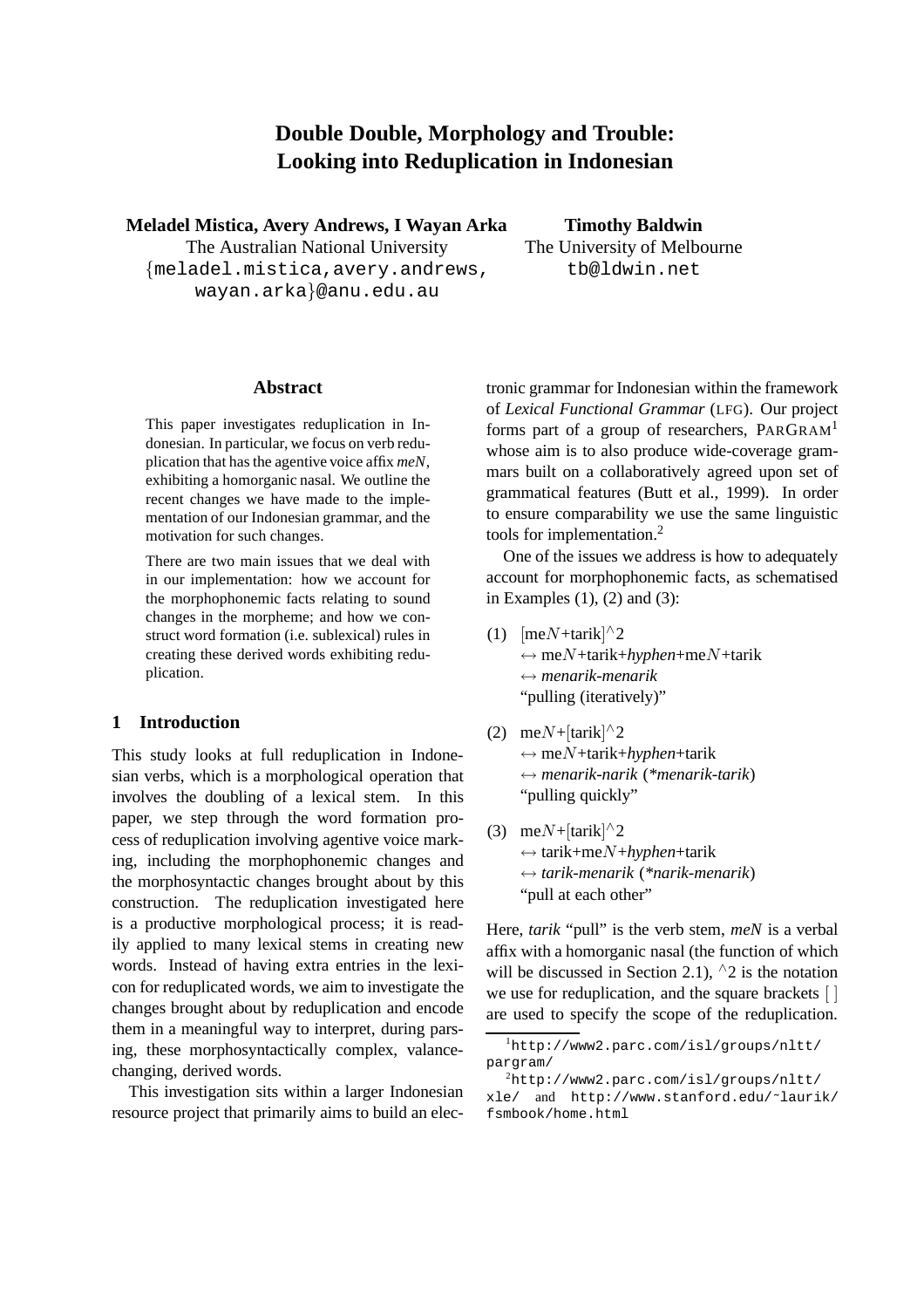# **Double Double, Morphology and Trouble: Looking into Reduplication in Indonesian**

**Meladel Mistica, Avery Andrews, I Wayan Arka**

The Australian National University {meladel.mistica,avery.andrews, wayan.arka}@anu.edu.au

**Timothy Baldwin** The University of Melbourne tb@ldwin.net

### **Abstract**

This paper investigates reduplication in Indonesian. In particular, we focus on verb reduplication that has the agentive voice affix *meN*, exhibiting a homorganic nasal. We outline the recent changes we have made to the implementation of our Indonesian grammar, and the motivation for such changes.

There are two main issues that we deal with in our implementation: how we account for the morphophonemic facts relating to sound changes in the morpheme; and how we construct word formation (i.e. sublexical) rules in creating these derived words exhibiting reduplication.

# **1 Introduction**

This study looks at full reduplication in Indonesian verbs, which is a morphological operation that involves the doubling of a lexical stem. In this paper, we step through the word formation process of reduplication involving agentive voice marking, including the morphophonemic changes and the morphosyntactic changes brought about by this construction. The reduplication investigated here is a productive morphological process; it is readily applied to many lexical stems in creating new words. Instead of having extra entries in the lexicon for reduplicated words, we aim to investigate the changes brought about by reduplication and encode them in a meaningful way to interpret, during parsing, these morphosyntactically complex, valancechanging, derived words.

This investigation sits within a larger Indonesian resource project that primarily aims to build an electronic grammar for Indonesian within the framework of *Lexical Functional Grammar* (LFG). Our project forms part of a group of researchers, PARGRAM<sup>1</sup> whose aim is to also produce wide-coverage grammars built on a collaboratively agreed upon set of grammatical features (Butt et al., 1999). In order to ensure comparability we use the same linguistic tools for implementation.<sup>2</sup>

One of the issues we address is how to adequately account for morphophonemic facts, as schematised in Examples  $(1)$ ,  $(2)$  and  $(3)$ :

- (1)  $[\text{me}N + \text{tarik}]^{\wedge}2$  $\leftrightarrow$  me*N*+tarik+*hyphen*+me*N*+tarik ↔ *menarik-menarik* "pulling (iteratively)"
- (2) meN+ $\frac{[\text{tarik}]^{\wedge}2}$  $\leftrightarrow$  me*N*+tarik+*hyphen*+tarik ↔ *menarik-narik* (*\*menarik-tarik*) "pulling quickly"
- (3) me $N + [\text{tarik}]^{\wedge}2$  $\leftrightarrow$  tarik+me $N$ +*hyphen*+tarik ↔ *tarik-menarik* (*\*narik-menarik*) "pull at each other"

Here, *tarik* "pull" is the verb stem, *meN* is a verbal affix with a homorganic nasal (the function of which will be discussed in Section 2.1),  $\wedge$ 2 is the notation we use for reduplication, and the square brackets [ ] are used to specify the scope of the reduplication.

<sup>1</sup>http://www2.parc.com/isl/groups/nltt/ pargram/

<sup>2</sup>http://www2.parc.com/isl/groups/nltt/

xle/ and http://www.stanford.edu/˜laurik/ fsmbook/home.html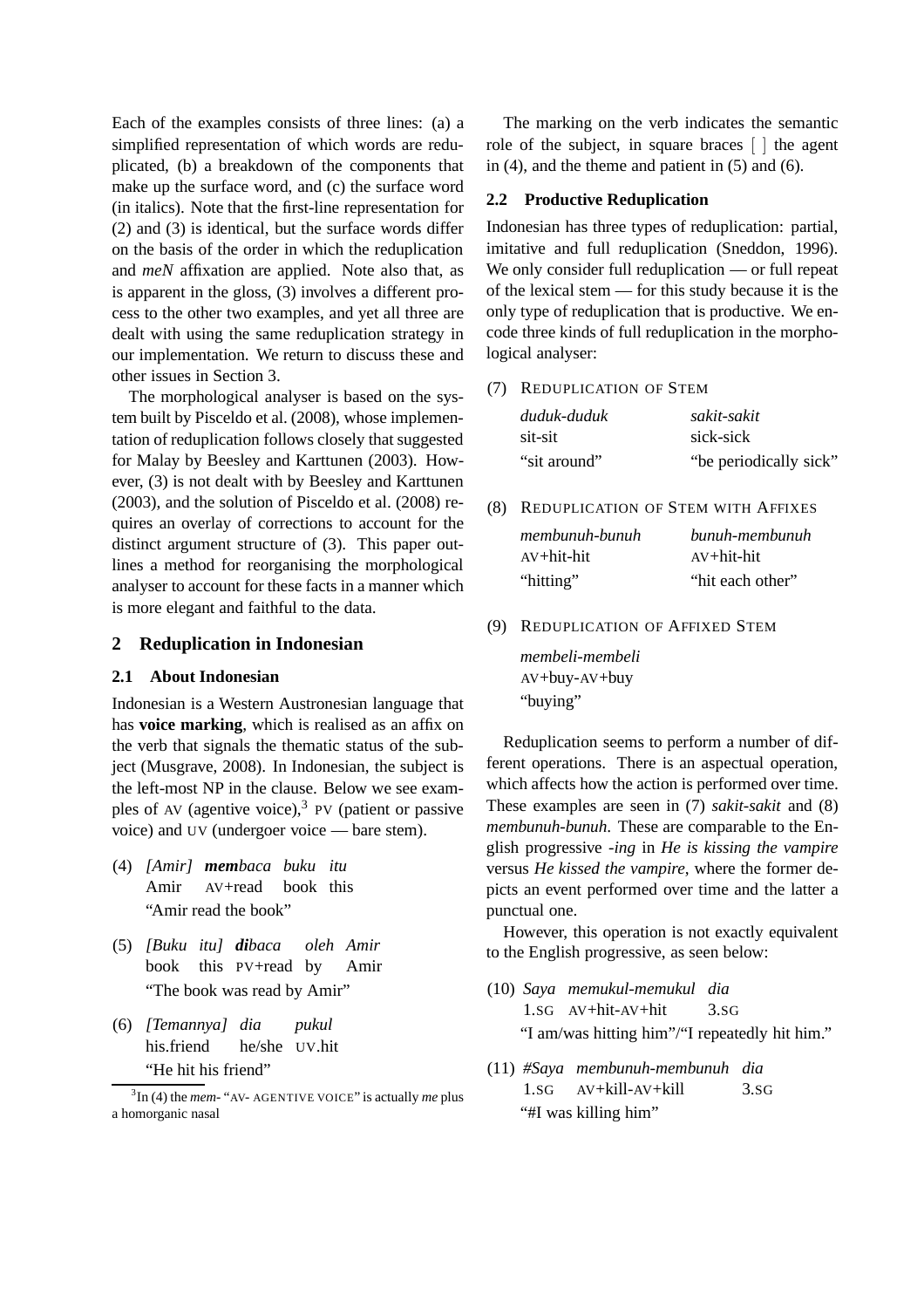Each of the examples consists of three lines: (a) a simplified representation of which words are reduplicated, (b) a breakdown of the components that make up the surface word, and (c) the surface word (in italics). Note that the first-line representation for (2) and (3) is identical, but the surface words differ on the basis of the order in which the reduplication and *meN* affixation are applied. Note also that, as is apparent in the gloss, (3) involves a different process to the other two examples, and yet all three are dealt with using the same reduplication strategy in our implementation. We return to discuss these and other issues in Section 3.

The morphological analyser is based on the system built by Pisceldo et al. (2008), whose implementation of reduplication follows closely that suggested for Malay by Beesley and Karttunen (2003). However, (3) is not dealt with by Beesley and Karttunen (2003), and the solution of Pisceldo et al. (2008) requires an overlay of corrections to account for the distinct argument structure of (3). This paper outlines a method for reorganising the morphological analyser to account for these facts in a manner which is more elegant and faithful to the data.

### **2 Reduplication in Indonesian**

## **2.1 About Indonesian**

Indonesian is a Western Austronesian language that has **voice marking**, which is realised as an affix on the verb that signals the thematic status of the subject (Musgrave, 2008). In Indonesian, the subject is the left-most NP in the clause. Below we see examples of AV (agentive voice), $3$  PV (patient or passive voice) and UV (undergoer voice — bare stem).

- (4) *[Amir] membaca buku itu* Amir AV+read book this "Amir read the book"
- (5) *[Buku itu] dibaca* book this PV+read by *oleh Amir* Amir "The book was read by Amir"
- (6) *[Temannya] dia* his.friend he/she UV.hit *pukul* "He hit his friend"

The marking on the verb indicates the semantic role of the subject, in square braces [ ] the agent in (4), and the theme and patient in (5) and (6).

## **2.2 Productive Reduplication**

Indonesian has three types of reduplication: partial, imitative and full reduplication (Sneddon, 1996). We only consider full reduplication — or full repeat of the lexical stem — for this study because it is the only type of reduplication that is productive. We encode three kinds of full reduplication in the morphological analyser:

(7) REDUPLICATION OF STEM

| duduk-duduk  | sakit-sakit            |
|--------------|------------------------|
| sit-sit      | sick-sick              |
| "sit around" | "be periodically sick" |

(8) REDUPLICATION OF STEM WITH AFFIXES

| membunuh-bunuh   | $b$ unuh-membunuh |
|------------------|-------------------|
| $AV + hit - hit$ | $AV + hit - hit$  |
| "hitting"        | "hit each other"  |

(9) REDUPLICATION OF AFFIXED STEM

*membeli-membeli* AV+buy-AV+buy "buying"

Reduplication seems to perform a number of different operations. There is an aspectual operation, which affects how the action is performed over time. These examples are seen in (7) *sakit-sakit* and (8) *membunuh-bunuh*. These are comparable to the English progressive *-ing* in *He is kissing the vampire* versus *He kissed the vampire*, where the former depicts an event performed over time and the latter a punctual one.

However, this operation is not exactly equivalent to the English progressive, as seen below:

- (10) *Saya memukul-memukul dia* 1.SG AV+hit-AV+hit 3.SG "I am/was hitting him"/"I repeatedly hit him."
- (11) *#Saya membunuh-membunuh dia* 1.SG AV+kill-AV+kill 3.SG "#I was killing him"

<sup>3</sup> In (4) the *mem-* "AV- AGENTIVE VOICE" is actually *me* plus a homorganic nasal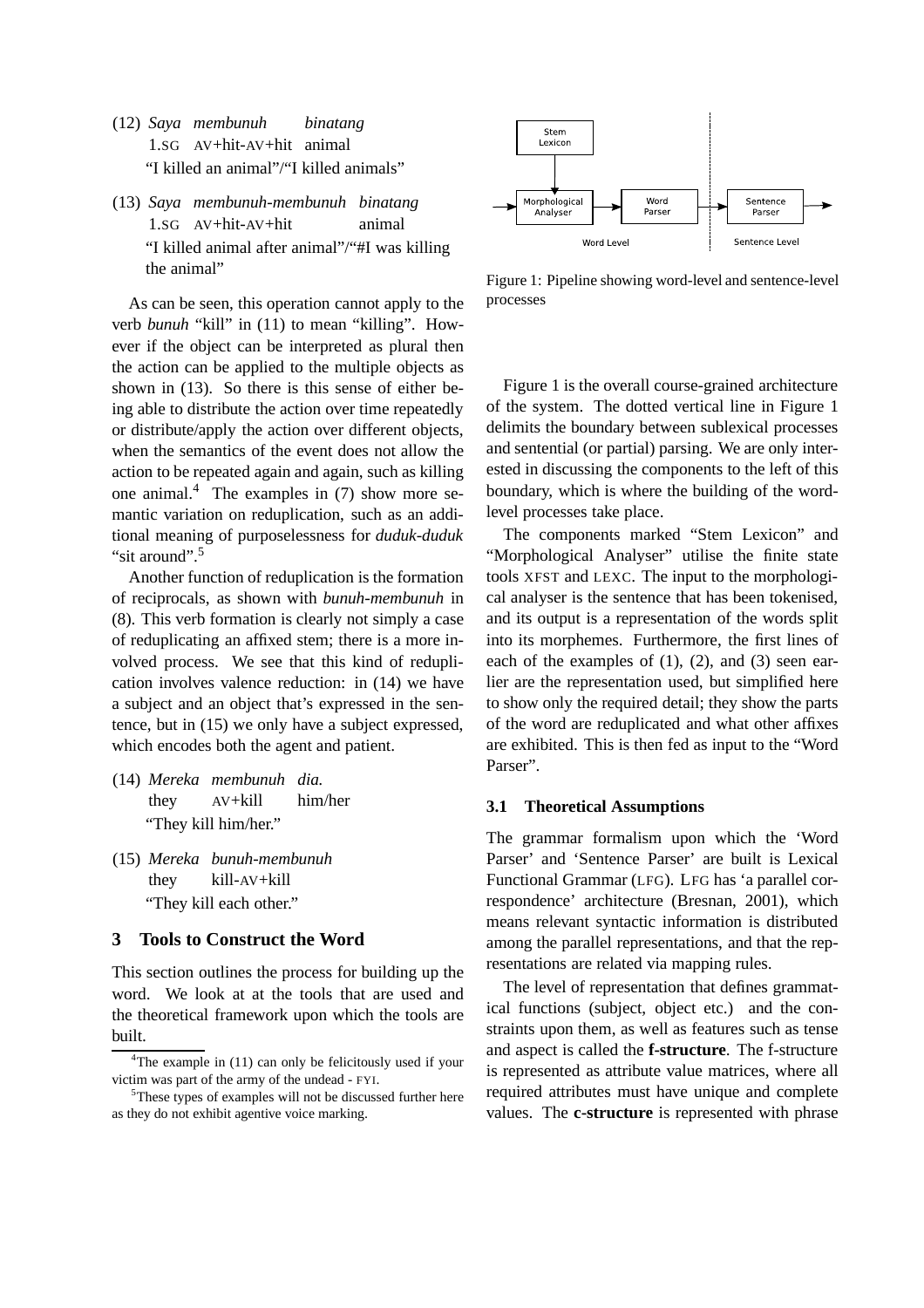- (12) *Saya membunuh* 1.SG AV+hit-AV+hit animal *binatang* "I killed an animal"/"I killed animals"
- (13) *Saya membunuh-membunuh binatang* 1.SG AV+hit-AV+hit animal "I killed animal after animal"/"#I was killing the animal"

As can be seen, this operation cannot apply to the verb *bunuh* "kill" in (11) to mean "killing". However if the object can be interpreted as plural then the action can be applied to the multiple objects as shown in (13). So there is this sense of either being able to distribute the action over time repeatedly or distribute/apply the action over different objects, when the semantics of the event does not allow the action to be repeated again and again, such as killing one animal.<sup>4</sup> The examples in  $(7)$  show more semantic variation on reduplication, such as an additional meaning of purposelessness for *duduk-duduk* "sit around".<sup>5</sup>

Another function of reduplication is the formation of reciprocals, as shown with *bunuh-membunuh* in (8). This verb formation is clearly not simply a case of reduplicating an affixed stem; there is a more involved process. We see that this kind of reduplication involves valence reduction: in (14) we have a subject and an object that's expressed in the sentence, but in (15) we only have a subject expressed, which encodes both the agent and patient.

- (14) *Mereka membunuh dia.* they AV+kill him/her "They kill him/her."
- (15) *Mereka bunuh-membunuh* they kill-AV+kill "They kill each other."

### **3 Tools to Construct the Word**

This section outlines the process for building up the word. We look at at the tools that are used and the theoretical framework upon which the tools are built.



Figure 1: Pipeline showing word-level and sentence-level processes

Figure 1 is the overall course-grained architecture of the system. The dotted vertical line in Figure 1 delimits the boundary between sublexical processes and sentential (or partial) parsing. We are only interested in discussing the components to the left of this boundary, which is where the building of the wordlevel processes take place.

The components marked "Stem Lexicon" and "Morphological Analyser" utilise the finite state tools XFST and LEXC. The input to the morphological analyser is the sentence that has been tokenised, and its output is a representation of the words split into its morphemes. Furthermore, the first lines of each of the examples of (1), (2), and (3) seen earlier are the representation used, but simplified here to show only the required detail; they show the parts of the word are reduplicated and what other affixes are exhibited. This is then fed as input to the "Word Parser".

### **3.1 Theoretical Assumptions**

The grammar formalism upon which the 'Word Parser' and 'Sentence Parser' are built is Lexical Functional Grammar (LFG). LFG has 'a parallel correspondence' architecture (Bresnan, 2001), which means relevant syntactic information is distributed among the parallel representations, and that the representations are related via mapping rules.

The level of representation that defines grammatical functions (subject, object etc.) and the constraints upon them, as well as features such as tense and aspect is called the **f-structure**. The f-structure is represented as attribute value matrices, where all required attributes must have unique and complete values. The **c-structure** is represented with phrase

 $4$ The example in (11) can only be felicitously used if your victim was part of the army of the undead - FYI.

<sup>&</sup>lt;sup>5</sup>These types of examples will not be discussed further here as they do not exhibit agentive voice marking.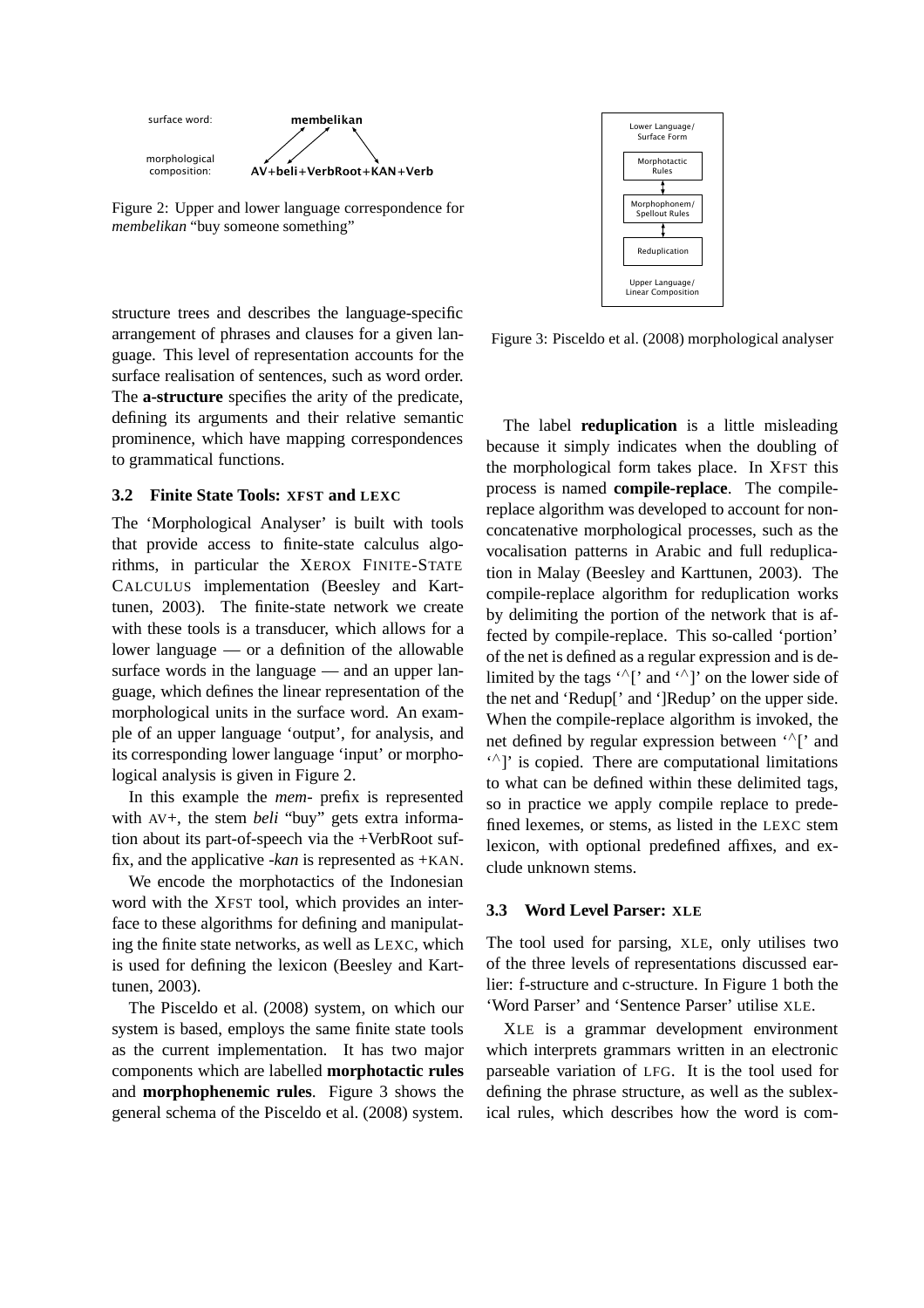

Figure 2: Upper and lower language correspondence for *membelikan* "buy someone something"



structure trees and describes the language-specific arrangement of phrases and clauses for a given language. This level of representation accounts for the surface realisation of sentences, such as word order. The **a-structure** specifies the arity of the predicate, defining its arguments and their relative semantic prominence, which have mapping correspondences to grammatical functions.

# **3.2 Finite State Tools: XFST and LEXC**

The 'Morphological Analyser' is built with tools that provide access to finite-state calculus algorithms, in particular the XEROX FINITE-STATE CALCULUS implementation (Beesley and Karttunen, 2003). The finite-state network we create with these tools is a transducer, which allows for a lower language — or a definition of the allowable surface words in the language — and an upper language, which defines the linear representation of the morphological units in the surface word. An example of an upper language 'output', for analysis, and its corresponding lower language 'input' or morphological analysis is given in Figure 2.

In this example the *mem-* prefix is represented with AV+, the stem *beli* "buy" gets extra information about its part-of-speech via the +VerbRoot suffix, and the applicative *-kan* is represented as +KAN.

We encode the morphotactics of the Indonesian word with the XFST tool, which provides an interface to these algorithms for defining and manipulating the finite state networks, as well as LEXC, which is used for defining the lexicon (Beesley and Karttunen, 2003).

The Pisceldo et al. (2008) system, on which our system is based, employs the same finite state tools as the current implementation. It has two major components which are labelled **morphotactic rules** and **morphophenemic rules**. Figure 3 shows the general schema of the Pisceldo et al. (2008) system.

Figure 3: Pisceldo et al. (2008) morphological analyser

The label **reduplication** is a little misleading because it simply indicates when the doubling of the morphological form takes place. In XFST this process is named **compile-replace**. The compilereplace algorithm was developed to account for nonconcatenative morphological processes, such as the vocalisation patterns in Arabic and full reduplication in Malay (Beesley and Karttunen, 2003). The compile-replace algorithm for reduplication works by delimiting the portion of the network that is affected by compile-replace. This so-called 'portion' of the net is defined as a regular expression and is delimited by the tags ' $\wedge$ [' and ' $\wedge$ ]' on the lower side of the net and 'Redup[' and ']Redup' on the upper side. When the compile-replace algorithm is invoked, the net defined by regular expression between '∧[' and ' <sup>∧</sup>]' is copied. There are computational limitations to what can be defined within these delimited tags, so in practice we apply compile replace to predefined lexemes, or stems, as listed in the LEXC stem lexicon, with optional predefined affixes, and exclude unknown stems.

### **3.3 Word Level Parser: XLE**

The tool used for parsing, XLE, only utilises two of the three levels of representations discussed earlier: f-structure and c-structure. In Figure 1 both the 'Word Parser' and 'Sentence Parser' utilise XLE.

XLE is a grammar development environment which interprets grammars written in an electronic parseable variation of LFG. It is the tool used for defining the phrase structure, as well as the sublexical rules, which describes how the word is com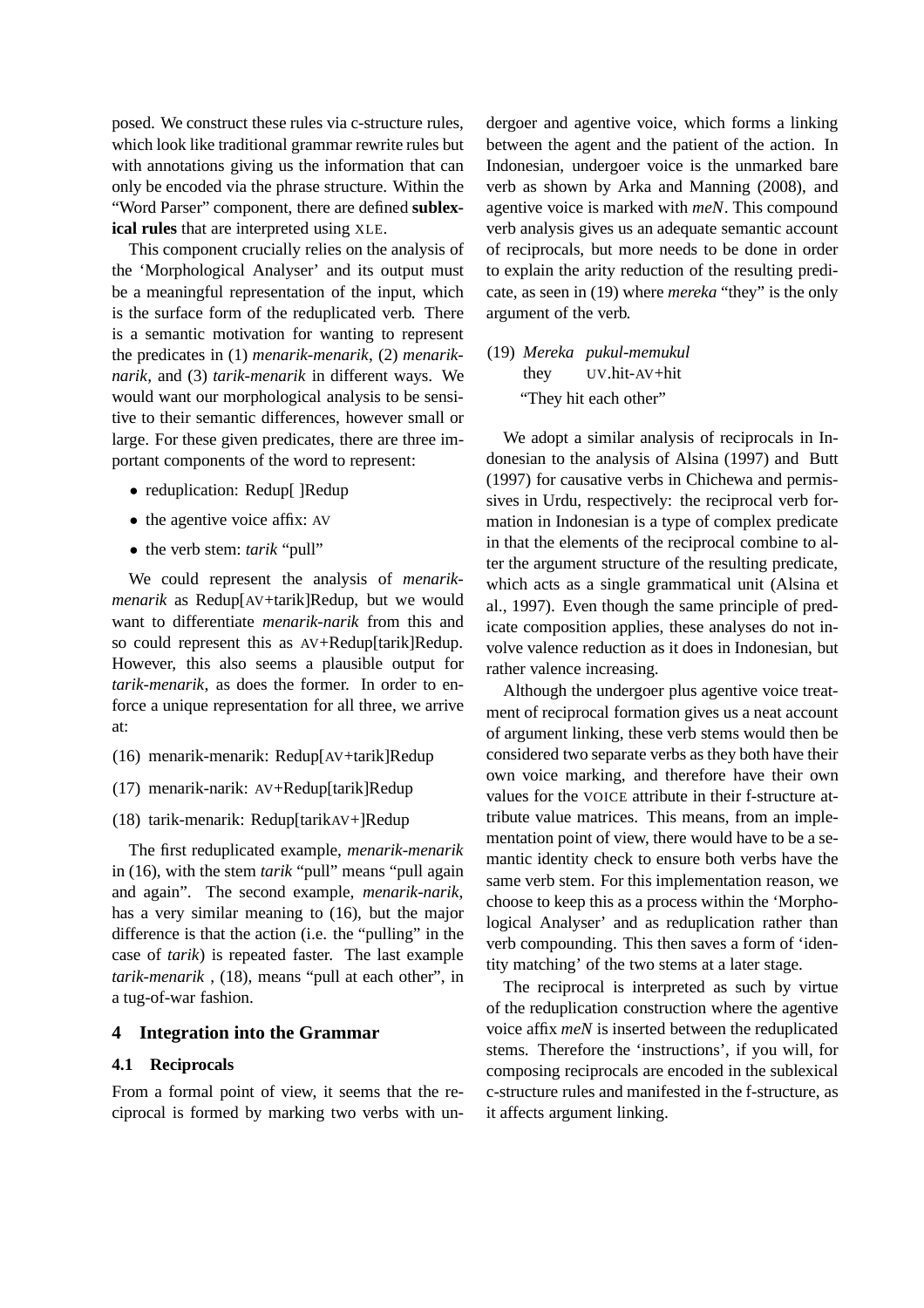posed. We construct these rules via c-structure rules, which look like traditional grammar rewrite rules but with annotations giving us the information that can only be encoded via the phrase structure. Within the "Word Parser" component, there are defined **sublexical rules** that are interpreted using XLE.

This component crucially relies on the analysis of the 'Morphological Analyser' and its output must be a meaningful representation of the input, which is the surface form of the reduplicated verb. There is a semantic motivation for wanting to represent the predicates in (1) *menarik-menarik*, (2) *menariknarik*, and (3) *tarik-menarik* in different ways. We would want our morphological analysis to be sensitive to their semantic differences, however small or large. For these given predicates, there are three important components of the word to represent:

- reduplication: Redup[ ]Redup
- the agentive voice affix: AV
- the verb stem: *tarik* "pull"

We could represent the analysis of *menarikmenarik* as Redup[AV+tarik]Redup, but we would want to differentiate *menarik-narik* from this and so could represent this as AV+Redup[tarik]Redup. However, this also seems a plausible output for *tarik-menarik*, as does the former. In order to enforce a unique representation for all three, we arrive at:

- (16) menarik-menarik: Redup[AV+tarik]Redup
- (17) menarik-narik: AV+Redup[tarik]Redup
- (18) tarik-menarik: Redup[tarikAV+]Redup

The first reduplicated example, *menarik-menarik* in (16), with the stem *tarik* "pull" means "pull again and again". The second example, *menarik-narik*, has a very similar meaning to (16), but the major difference is that the action (i.e. the "pulling" in the case of *tarik*) is repeated faster. The last example *tarik-menarik* , (18), means "pull at each other", in a tug-of-war fashion.

### **4 Integration into the Grammar**

# **4.1 Reciprocals**

From a formal point of view, it seems that the reciprocal is formed by marking two verbs with un-

dergoer and agentive voice, which forms a linking between the agent and the patient of the action. In Indonesian, undergoer voice is the unmarked bare verb as shown by Arka and Manning (2008), and agentive voice is marked with *meN*. This compound verb analysis gives us an adequate semantic account of reciprocals, but more needs to be done in order to explain the arity reduction of the resulting predicate, as seen in (19) where *mereka* "they" is the only argument of the verb.

(19) *Mereka pukul-memukul* they UV.hit-AV+hit "They hit each other"

We adopt a similar analysis of reciprocals in Indonesian to the analysis of Alsina (1997) and Butt (1997) for causative verbs in Chichewa and permissives in Urdu, respectively: the reciprocal verb formation in Indonesian is a type of complex predicate in that the elements of the reciprocal combine to alter the argument structure of the resulting predicate, which acts as a single grammatical unit (Alsina et al., 1997). Even though the same principle of predicate composition applies, these analyses do not involve valence reduction as it does in Indonesian, but rather valence increasing.

Although the undergoer plus agentive voice treatment of reciprocal formation gives us a neat account of argument linking, these verb stems would then be considered two separate verbs as they both have their own voice marking, and therefore have their own values for the VOICE attribute in their f-structure attribute value matrices. This means, from an implementation point of view, there would have to be a semantic identity check to ensure both verbs have the same verb stem. For this implementation reason, we choose to keep this as a process within the 'Morphological Analyser' and as reduplication rather than verb compounding. This then saves a form of 'identity matching' of the two stems at a later stage.

The reciprocal is interpreted as such by virtue of the reduplication construction where the agentive voice affix *meN* is inserted between the reduplicated stems. Therefore the 'instructions', if you will, for composing reciprocals are encoded in the sublexical c-structure rules and manifested in the f-structure, as it affects argument linking.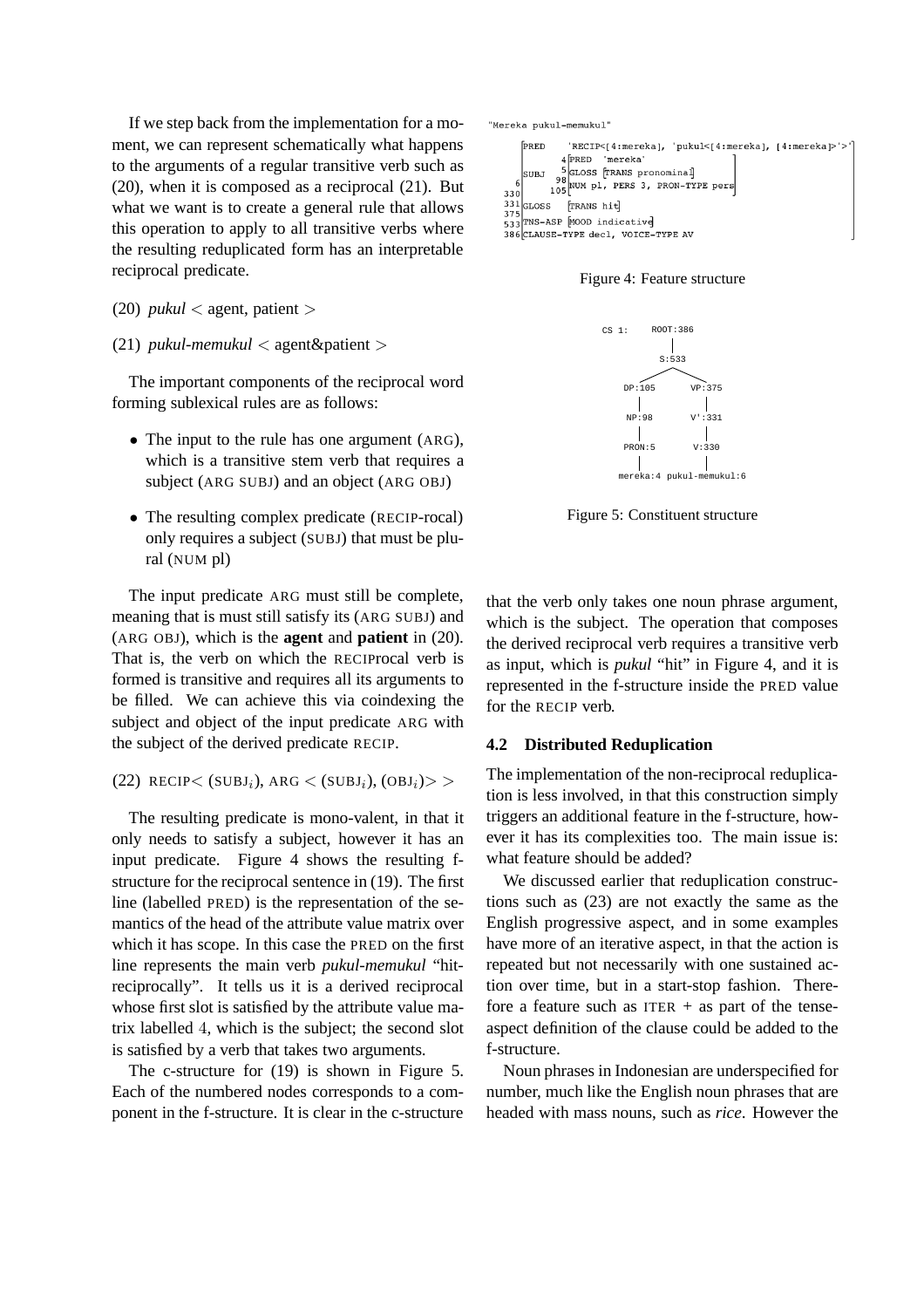If we step back from the implementation for a moment, we can represent schematically what happens to the arguments of a regular transitive verb such as (20), when it is composed as a reciprocal (21). But what we want is to create a general rule that allows this operation to apply to all transitive verbs where the resulting reduplicated form has an interpretable reciprocal predicate.

- $(20)$  *pukul*  $\lt$  agent, patient  $\gt$
- (21)  $pukul$ *-memukul*  $\lt$  agent&patient  $\gt$

The important components of the reciprocal word forming sublexical rules are as follows:

- The input to the rule has one argument (ARG), which is a transitive stem verb that requires a subject (ARG SUBJ) and an object (ARG OBJ)
- The resulting complex predicate (RECIP-rocal) only requires a subject (SUBJ) that must be plural (NUM pl)

The input predicate ARG must still be complete, meaning that is must still satisfy its (ARG SUBJ) and (ARG OBJ), which is the **agent** and **patient** in (20). That is, the verb on which the RECIProcal verb is formed is transitive and requires all its arguments to be filled. We can achieve this via coindexing the subject and object of the input predicate ARG with the subject of the derived predicate RECIP.

```
(22) RECIP\langle (SUBJ<sub>i</sub>), ARG \langle (SUBJ<sub>i</sub>), (OBJ<sub>i</sub>) > >
```
The resulting predicate is mono-valent, in that it only needs to satisfy a subject, however it has an input predicate. Figure 4 shows the resulting fstructure for the reciprocal sentence in (19). The first line (labelled PRED) is the representation of the semantics of the head of the attribute value matrix over which it has scope. In this case the PRED on the first line represents the main verb *pukul-memukul* "hitreciprocally". It tells us it is a derived reciprocal whose first slot is satisfied by the attribute value matrix labelled 4, which is the subject; the second slot is satisfied by a verb that takes two arguments.

The c-structure for (19) is shown in Figure 5. Each of the numbered nodes corresponds to a component in the f-structure. It is clear in the c-structure

"Mereka pukul-memukul" 'RECIP<[4:mereka], 'pukul<[4:mereka], [4:mereka]> > **IPRED** 4<sup>[PRED</sup> 'mereka' 5<br>B<sub>8</sub>GLOSS [TRANS pronominal] SUBJ 5 GLOSS [TRANS pronominal]<br>98 NUM pl, PERS 3, PRON-TYPE pers<br>GLOSS [TRANS hit] 330  $\begin{bmatrix} 331 \\ 375 \end{bmatrix}$ GLOSS [TRANS hit]  $533$ TNS-ASP MOOD indicative 386 CLAUSE-TYPE decl, VOICE-TYPE AV





Figure 5: Constituent structure

that the verb only takes one noun phrase argument, which is the subject. The operation that composes the derived reciprocal verb requires a transitive verb as input, which is *pukul* "hit" in Figure 4, and it is represented in the f-structure inside the PRED value for the RECIP verb.

### **4.2 Distributed Reduplication**

The implementation of the non-reciprocal reduplication is less involved, in that this construction simply triggers an additional feature in the f-structure, however it has its complexities too. The main issue is: what feature should be added?

We discussed earlier that reduplication constructions such as (23) are not exactly the same as the English progressive aspect, and in some examples have more of an iterative aspect, in that the action is repeated but not necessarily with one sustained action over time, but in a start-stop fashion. Therefore a feature such as ITER  $+$  as part of the tenseaspect definition of the clause could be added to the f-structure.

Noun phrases in Indonesian are underspecified for number, much like the English noun phrases that are headed with mass nouns, such as *rice*. However the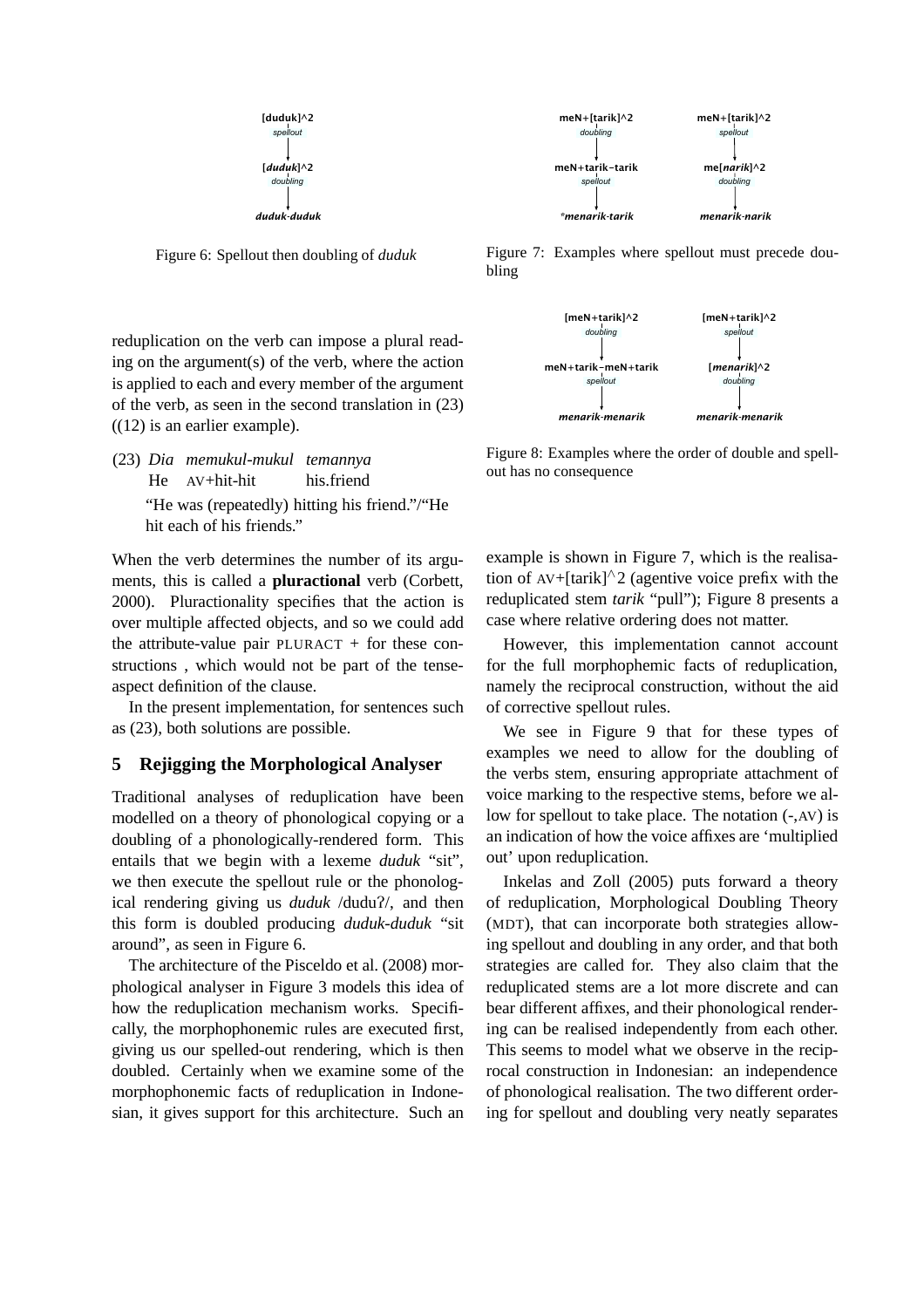

Figure 6: Spellout then doubling of *duduk*

reduplication on the verb can impose a plural reading on the argument(s) of the verb, where the action is applied to each and every member of the argument of the verb, as seen in the second translation in (23) ((12) is an earlier example).

(23) *Dia memukul-mukul temannya* He AV+hit-hit his.friend "He was (repeatedly) hitting his friend."/"He hit each of his friends."

When the verb determines the number of its arguments, this is called a **pluractional** verb (Corbett, 2000). Pluractionality specifies that the action is over multiple affected objects, and so we could add the attribute-value pair PLURACT  $+$  for these constructions , which would not be part of the tenseaspect definition of the clause.

In the present implementation, for sentences such as (23), both solutions are possible.

### **5 Rejigging the Morphological Analyser**

Traditional analyses of reduplication have been modelled on a theory of phonological copying or a doubling of a phonologically-rendered form. This entails that we begin with a lexeme *duduk* "sit", we then execute the spellout rule or the phonological rendering giving us *duduk* /dudu?/, and then this form is doubled producing *duduk-duduk* "sit around", as seen in Figure 6.

The architecture of the Pisceldo et al. (2008) morphological analyser in Figure 3 models this idea of how the reduplication mechanism works. Specifically, the morphophonemic rules are executed first, giving us our spelled-out rendering, which is then doubled. Certainly when we examine some of the morphophonemic facts of reduplication in Indonesian, it gives support for this architecture. Such an



Figure 7: Examples where spellout must precede doubling



Figure 8: Examples where the order of double and spellout has no consequence

example is shown in Figure 7, which is the realisation of  $AV+[tarik]^2$  (agentive voice prefix with the reduplicated stem *tarik* "pull"); Figure 8 presents a case where relative ordering does not matter.

However, this implementation cannot account for the full morphophemic facts of reduplication, namely the reciprocal construction, without the aid of corrective spellout rules.

We see in Figure 9 that for these types of examples we need to allow for the doubling of the verbs stem, ensuring appropriate attachment of voice marking to the respective stems, before we allow for spellout to take place. The notation (-,AV) is an indication of how the voice affixes are 'multiplied out' upon reduplication.

Inkelas and Zoll (2005) puts forward a theory of reduplication, Morphological Doubling Theory (MDT), that can incorporate both strategies allowing spellout and doubling in any order, and that both strategies are called for. They also claim that the reduplicated stems are a lot more discrete and can bear different affixes, and their phonological rendering can be realised independently from each other. This seems to model what we observe in the reciprocal construction in Indonesian: an independence of phonological realisation. The two different ordering for spellout and doubling very neatly separates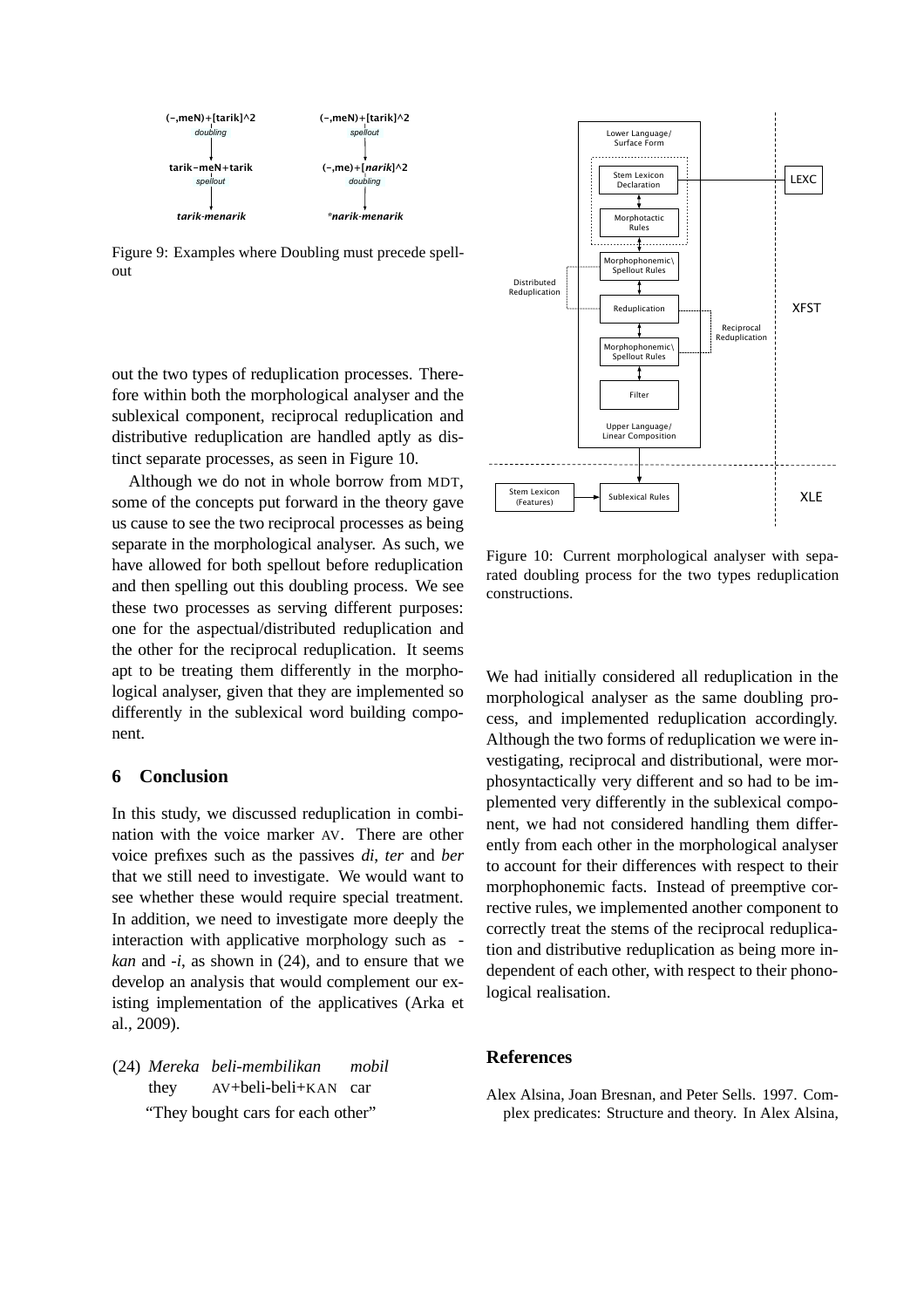

Figure 9: Examples where Doubling must precede spellout

out the two types of reduplication processes. Therefore within both the morphological analyser and the sublexical component, reciprocal reduplication and distributive reduplication are handled aptly as distinct separate processes, as seen in Figure 10.

Although we do not in whole borrow from MDT, some of the concepts put forward in the theory gave us cause to see the two reciprocal processes as being separate in the morphological analyser. As such, we have allowed for both spellout before reduplication and then spelling out this doubling process. We see these two processes as serving different purposes: one for the aspectual/distributed reduplication and the other for the reciprocal reduplication. It seems apt to be treating them differently in the morphological analyser, given that they are implemented so differently in the sublexical word building component.

# **6 Conclusion**

In this study, we discussed reduplication in combination with the voice marker AV. There are other voice prefixes such as the passives *di*, *ter* and *ber* that we still need to investigate. We would want to see whether these would require special treatment. In addition, we need to investigate more deeply the interaction with applicative morphology such as  *kan* and *-i*, as shown in (24), and to ensure that we develop an analysis that would complement our existing implementation of the applicatives (Arka et al., 2009).

(24) *Mereka beli-membilikan* they AV+beli-beli+KAN car *mobil* "They bought cars for each other"



Figure 10: Current morphological analyser with separated doubling process for the two types reduplication constructions.

We had initially considered all reduplication in the morphological analyser as the same doubling process, and implemented reduplication accordingly. Although the two forms of reduplication we were investigating, reciprocal and distributional, were morphosyntactically very different and so had to be implemented very differently in the sublexical component, we had not considered handling them differently from each other in the morphological analyser to account for their differences with respect to their morphophonemic facts. Instead of preemptive corrective rules, we implemented another component to correctly treat the stems of the reciprocal reduplication and distributive reduplication as being more independent of each other, with respect to their phonological realisation.

#### **References**

Alex Alsina, Joan Bresnan, and Peter Sells. 1997. Complex predicates: Structure and theory. In Alex Alsina,